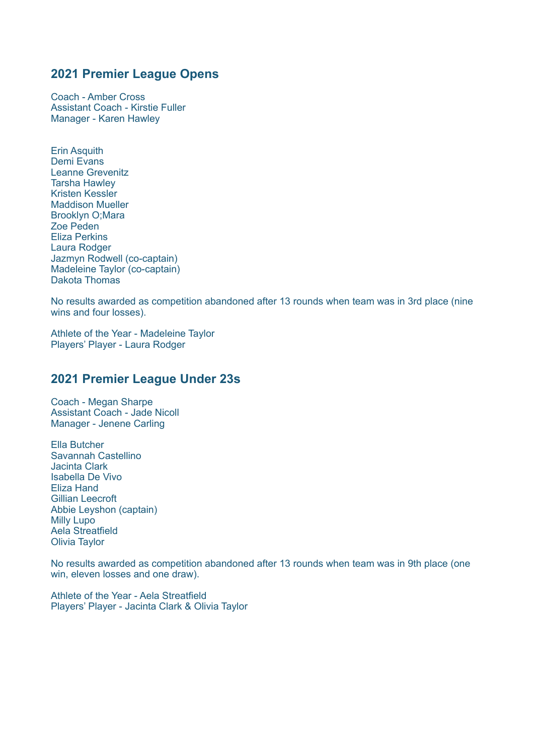Coach - Amber Cross Assistant Coach - Kirstie Fuller Manager - Karen Hawley

Erin Asquith Demi Evans Leanne Grevenitz Tarsha Hawley Kristen Kessler Maddison Mueller Brooklyn O;Mara Zoe Peden Eliza Perkins Laura Rodger Jazmyn Rodwell (co-captain) Madeleine Taylor (co-captain) Dakota Thomas

No results awarded as competition abandoned after 13 rounds when team was in 3rd place (nine wins and four losses).

Athlete of the Year - Madeleine Taylor Players' Player - Laura Rodger

## **2021 Premier League Under 23s**

Coach - Megan Sharpe Assistant Coach - Jade Nicoll Manager - Jenene Carling

Ella Butcher Savannah Castellino Jacinta Clark Isabella De Vivo Eliza Hand Gillian Leecroft Abbie Leyshon (captain) Milly Lupo Aela Streatfield Olivia Taylor

No results awarded as competition abandoned after 13 rounds when team was in 9th place (one win, eleven losses and one draw).

Athlete of the Year - Aela Streatfield Players' Player - Jacinta Clark & Olivia Taylor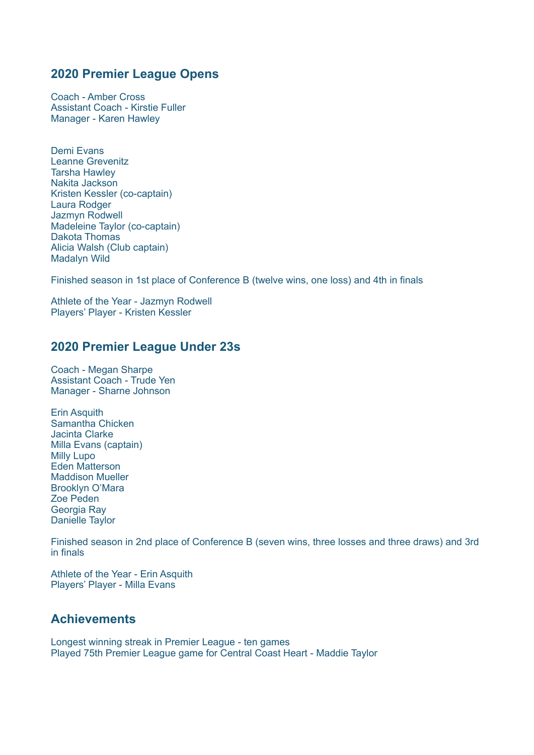Coach - Amber Cross Assistant Coach - Kirstie Fuller Manager - Karen Hawley

Demi Evans Leanne Grevenitz Tarsha Hawley Nakita Jackson Kristen Kessler (co-captain) Laura Rodger Jazmyn Rodwell Madeleine Taylor (co-captain) Dakota Thomas Alicia Walsh (Club captain) Madalyn Wild

Finished season in 1st place of Conference B (twelve wins, one loss) and 4th in finals

Athlete of the Year - Jazmyn Rodwell Players' Player - Kristen Kessler

### **2020 Premier League Under 23s**

Coach - Megan Sharpe Assistant Coach - Trude Yen Manager - Sharne Johnson

Erin Asquith Samantha Chicken Jacinta Clarke Milla Evans (captain) Milly Lupo Eden Matterson Maddison Mueller Brooklyn O'Mara Zoe Peden Georgia Ray Danielle Taylor

Finished season in 2nd place of Conference B (seven wins, three losses and three draws) and 3rd in finals

Athlete of the Year - Erin Asquith Players' Player - Milla Evans

### **Achievements**

Longest winning streak in Premier League - ten games Played 75th Premier League game for Central Coast Heart - Maddie Taylor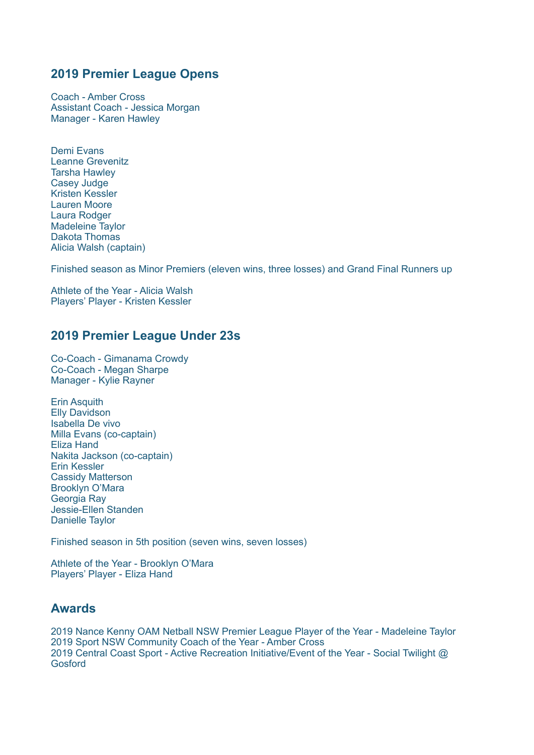Coach - Amber Cross Assistant Coach - Jessica Morgan Manager - Karen Hawley

Demi Evans Leanne Grevenitz Tarsha Hawley Casey Judge Kristen Kessler Lauren Moore Laura Rodger Madeleine Taylor Dakota Thomas Alicia Walsh (captain)

Finished season as Minor Premiers (eleven wins, three losses) and Grand Final Runners up

Athlete of the Year - Alicia Walsh Players' Player - Kristen Kessler

# **2019 Premier League Under 23s**

Co-Coach - Gimanama Crowdy Co-Coach - Megan Sharpe Manager - Kylie Rayner

Erin Asquith Elly Davidson Isabella De vivo Milla Evans (co-captain) Eliza Hand Nakita Jackson (co-captain) Erin Kessler Cassidy Matterson Brooklyn O'Mara Georgia Ray Jessie-Ellen Standen Danielle Taylor

Finished season in 5th position (seven wins, seven losses)

Athlete of the Year - Brooklyn O'Mara Players' Player - Eliza Hand

### **Awards**

2019 Nance Kenny OAM Netball NSW Premier League Player of the Year - Madeleine Taylor 2019 Sport NSW Community Coach of the Year - Amber Cross 2019 Central Coast Sport - Active Recreation Initiative/Event of the Year - Social Twilight @ Gosford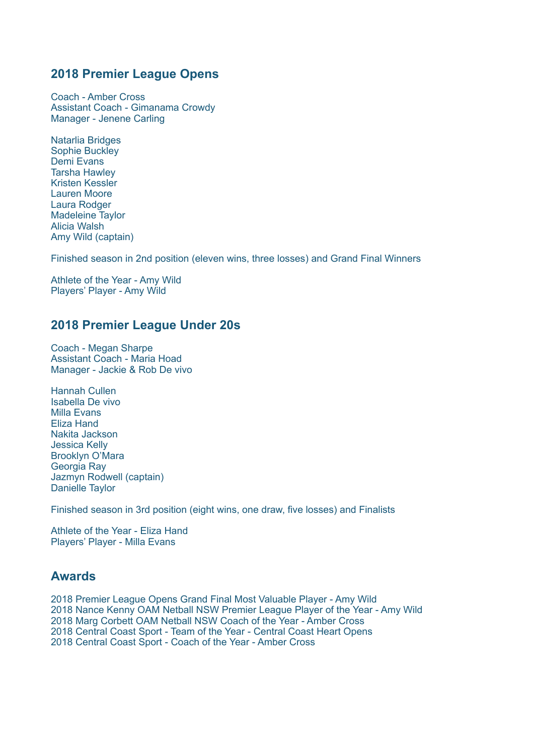Coach - Amber Cross Assistant Coach - Gimanama Crowdy Manager - Jenene Carling

Natarlia Bridges Sophie Buckley Demi Evans Tarsha Hawley Kristen Kessler Lauren Moore Laura Rodger Madeleine Taylor Alicia Walsh Amy Wild (captain)

Finished season in 2nd position (eleven wins, three losses) and Grand Final Winners

Athlete of the Year - Amy Wild Players' Player - Amy Wild

#### **2018 Premier League Under 20s**

Coach - Megan Sharpe Assistant Coach - Maria Hoad Manager - Jackie & Rob De vivo

Hannah Cullen Isabella De vivo Milla Evans Eliza Hand Nakita Jackson Jessica Kelly Brooklyn O'Mara Georgia Ray Jazmyn Rodwell (captain) Danielle Taylor

Finished season in 3rd position (eight wins, one draw, five losses) and Finalists

Athlete of the Year - Eliza Hand Players' Player - Milla Evans

#### **Awards**

2018 Premier League Opens Grand Final Most Valuable Player - Amy Wild 2018 Nance Kenny OAM Netball NSW Premier League Player of the Year - Amy Wild 2018 Marg Corbett OAM Netball NSW Coach of the Year - Amber Cross 2018 Central Coast Sport - Team of the Year - Central Coast Heart Opens 2018 Central Coast Sport - Coach of the Year - Amber Cross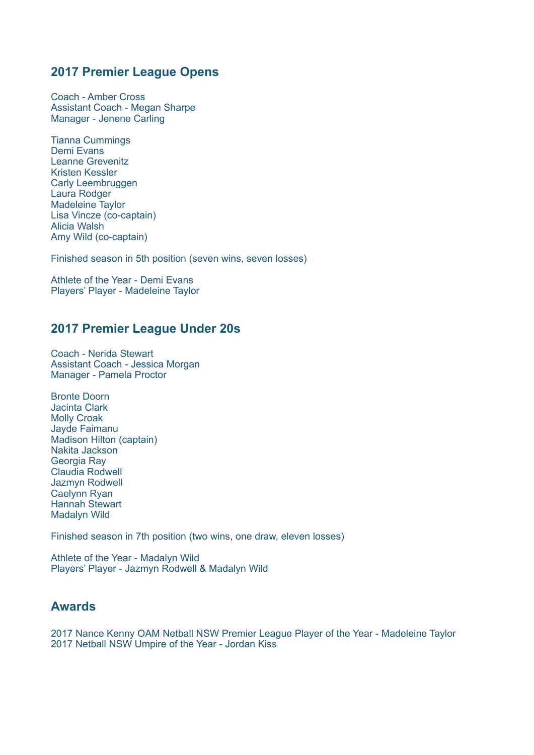Coach - Amber Cross Assistant Coach - Megan Sharpe Manager - Jenene Carling

Tianna Cummings Demi Evans Leanne Grevenitz Kristen Kessler Carly Leembruggen Laura Rodger Madeleine Taylor Lisa Vincze (co-captain) Alicia Walsh Amy Wild (co-captain)

Finished season in 5th position (seven wins, seven losses)

Athlete of the Year - Demi Evans Players' Player - Madeleine Taylor

### **2017 Premier League Under 20s**

Coach - Nerida Stewart Assistant Coach - Jessica Morgan Manager - Pamela Proctor

Bronte Doorn Jacinta Clark Molly Croak Jayde Faimanu Madison Hilton (captain) Nakita Jackson Georgia Ray Claudia Rodwell Jazmyn Rodwell Caelynn Ryan Hannah Stewart Madalyn Wild

Finished season in 7th position (two wins, one draw, eleven losses)

Athlete of the Year - Madalyn Wild Players' Player - Jazmyn Rodwell & Madalyn Wild

## **Awards**

2017 Nance Kenny OAM Netball NSW Premier League Player of the Year - Madeleine Taylor 2017 Netball NSW Umpire of the Year - Jordan Kiss